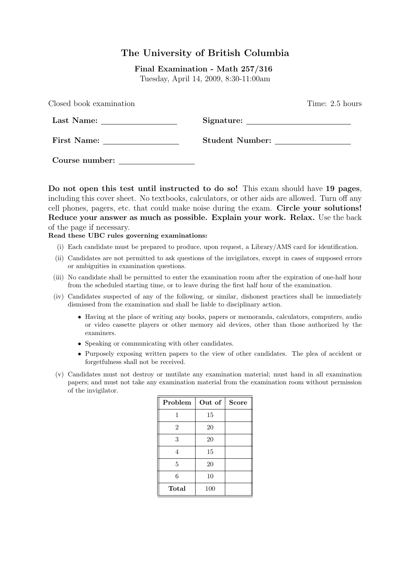# The University of British Columbia

Final Examination - Math 257/316 Tuesday, April 14, 2009, 8:30-11:00am

| Closed book examination |                 | Time: 2.5 hours |
|-------------------------|-----------------|-----------------|
| Last Name:              |                 |                 |
| First Name:             | Student Number: |                 |
| Course number:          |                 |                 |

Do not open this test until instructed to do so! This exam should have 19 pages, including this cover sheet. No textbooks, calculators, or other aids are allowed. Turn off any cell phones, pagers, etc. that could make noise during the exam. Circle your solutions! Reduce your answer as much as possible. Explain your work. Relax. Use the back of the page if necessary.

Read these UBC rules governing examinations:

- (i) Each candidate must be prepared to produce, upon request, a Library/AMS card for identification.
- (ii) Candidates are not permitted to ask questions of the invigilators, except in cases of supposed errors or ambiguities in examination questions.
- (iii) No candidate shall be permitted to enter the examination room after the expiration of one-half hour from the scheduled starting time, or to leave during the first half hour of the examination.
- (iv) Candidates suspected of any of the following, or similar, dishonest practices shall be immediately dismissed from the examination and shall be liable to disciplinary action.
	- Having at the place of writing any books, papers or memoranda, calculators, computers, audio or video cassette players or other memory aid devices, other than those authorized by the examiners.
	- Speaking or communicating with other candidates.
	- Purposely exposing written papers to the view of other candidates. The plea of accident or forgetfulness shall not be received.
- (v) Candidates must not destroy or mutilate any examination material; must hand in all examination papers; and must not take any examination material from the examination room without permission of the invigilator.

| Problem        | Out of | <b>Score</b> |
|----------------|--------|--------------|
| 1              | 15     |              |
| $\overline{2}$ | 20     |              |
| 3              | 20     |              |
| 4              | 15     |              |
| 5              | 20     |              |
| 6              | 10     |              |
| Total          | 100    |              |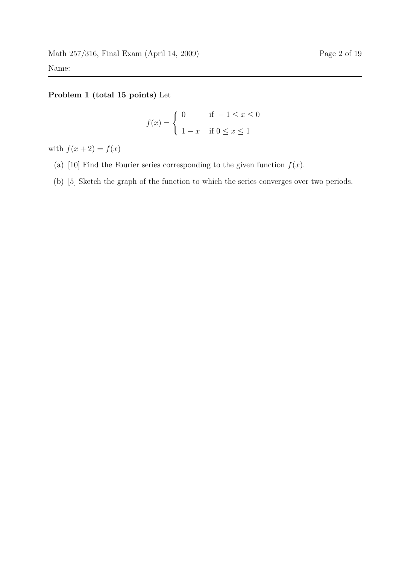## Problem 1 (total 15 points) Let

$$
f(x) = \begin{cases} 0 & \text{if } -1 \le x \le 0 \\ 1 - x & \text{if } 0 \le x \le 1 \end{cases}
$$

with  $f(x+2) = f(x)$ 

- (a) [10] Find the Fourier series corresponding to the given function  $f(x)$ .
- (b) [5] Sketch the graph of the function to which the series converges over two periods.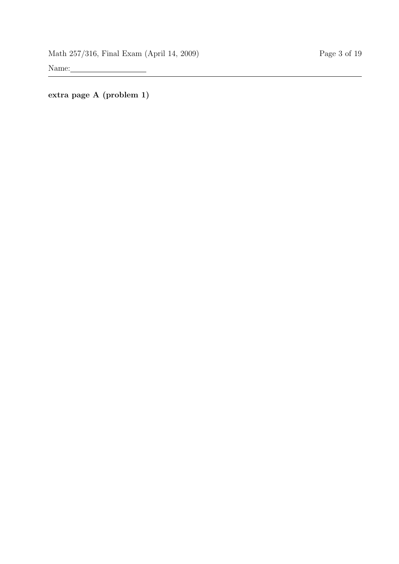extra page A (problem 1)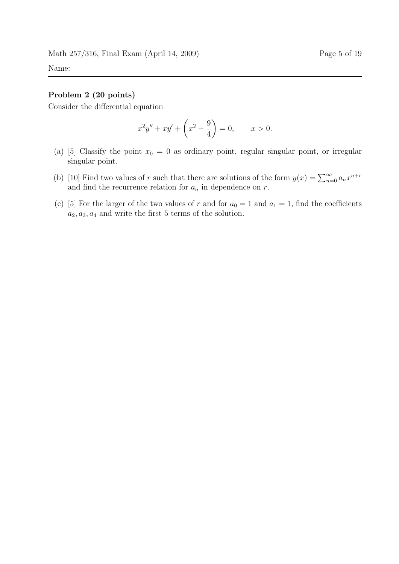#### Problem 2 (20 points)

Consider the differential equation

$$
x^{2}y'' + xy' + \left(x^{2} - \frac{9}{4}\right) = 0, \qquad x > 0.
$$

- (a) [5] Classify the point  $x_0 = 0$  as ordinary point, regular singular point, or irregular singular point.
- (b) [10] Find two values of r such that there are solutions of the form  $y(x) = \sum_{n=0}^{\infty} a_n x^{n+r}$ and find the recurrence relation for  $a_n$  in dependence on  $r$ .
- (c) [5] For the larger of the two values of r and for  $a_0 = 1$  and  $a_1 = 1$ , find the coefficients  $a_2, a_3, a_4$  and write the first 5 terms of the solution.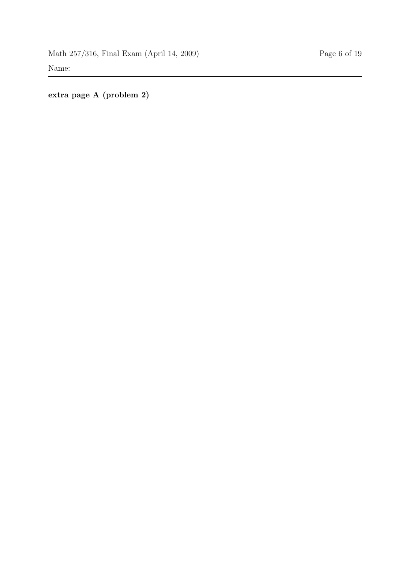extra page A (problem 2)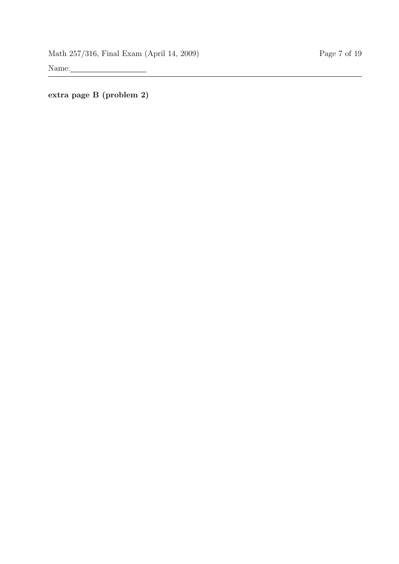extra page B (problem 2)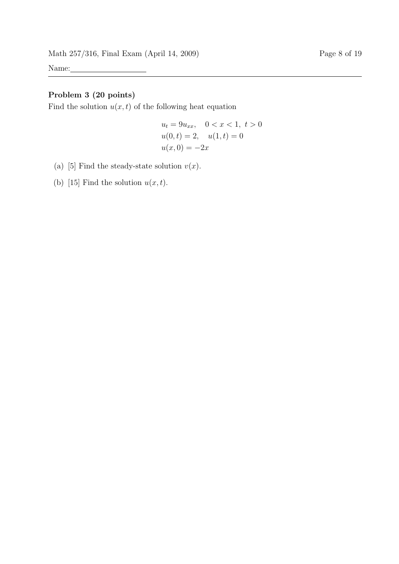## Problem 3 (20 points)

Find the solution  $u(x, t)$  of the following heat equation

$$
u_t = 9u_{xx}, \quad 0 < x < 1, \ t > 0
$$
\n
$$
u(0, t) = 2, \quad u(1, t) = 0
$$
\n
$$
u(x, 0) = -2x
$$

- (a) [5] Find the steady-state solution  $v(x)$ .
- (b) [15] Find the solution  $u(x, t)$ .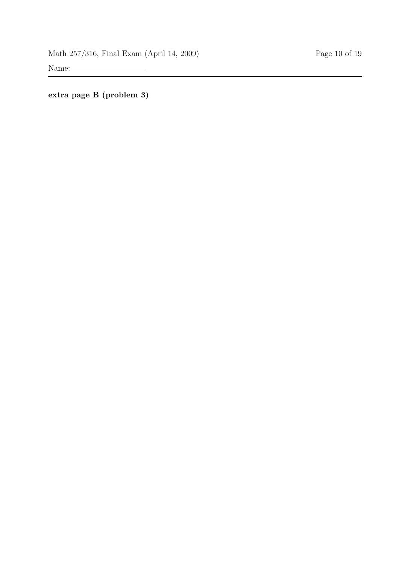extra page B (problem 3)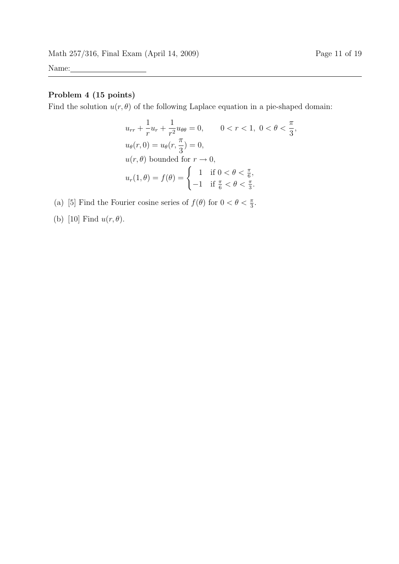## Problem 4 (15 points)

Find the solution  $u(r, \theta)$  of the following Laplace equation in a pie-shaped domain:

$$
u_{rr} + \frac{1}{r}u_r + \frac{1}{r^2}u_{\theta\theta} = 0, \qquad 0 < r < 1, \ 0 < \theta < \frac{\pi}{3},
$$
  
\n
$$
u_{\theta}(r, 0) = u_{\theta}(r, \frac{\pi}{3}) = 0,
$$
  
\n
$$
u(r, \theta) \text{ bounded for } r \to 0,
$$
  
\n
$$
u_r(1, \theta) = f(\theta) = \begin{cases} 1 & \text{if } 0 < \theta < \frac{\pi}{6}, \\ -1 & \text{if } \frac{\pi}{6} < \theta < \frac{\pi}{3}. \end{cases}
$$

(a) [5] Find the Fourier cosine series of  $f(\theta)$  for  $0 < \theta < \frac{\pi}{3}$ .

(b) [10] Find  $u(r, \theta)$ .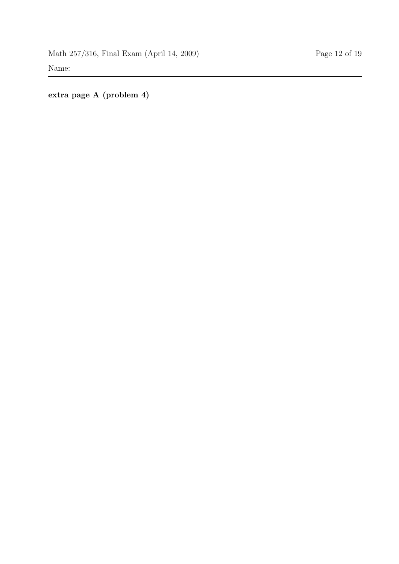extra page A (problem 4)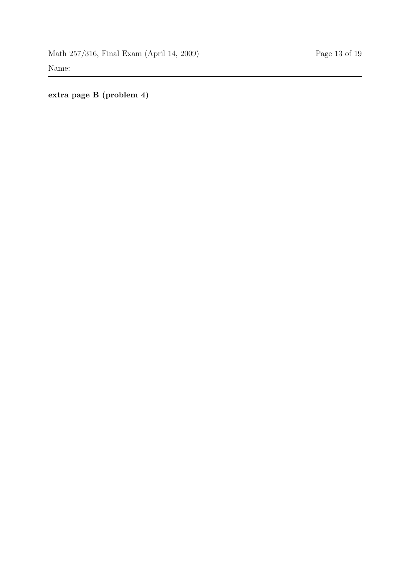extra page B (problem 4)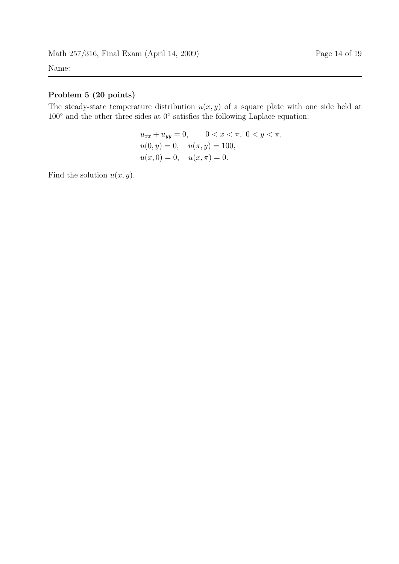### Problem 5 (20 points)

The steady-state temperature distribution  $u(x, y)$  of a square plate with one side held at 100◦ and the other three sides at 0◦ satisfies the following Laplace equation:

$$
u_{xx} + u_{yy} = 0, \t 0 < x < \pi, 0 < y < \pi,
$$
  
\n
$$
u(0, y) = 0, \t u(\pi, y) = 100,
$$
  
\n
$$
u(x, 0) = 0, \t u(x, \pi) = 0.
$$

Find the solution  $u(x, y)$ .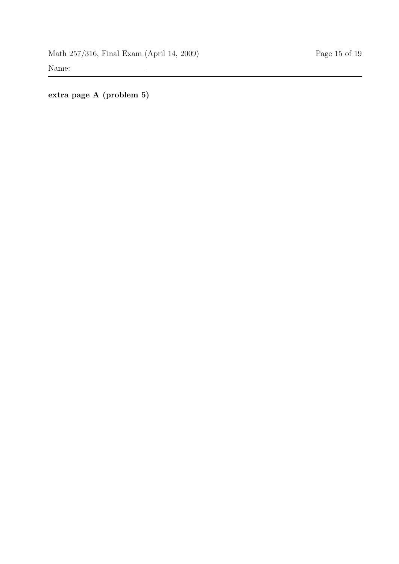extra page A (problem 5)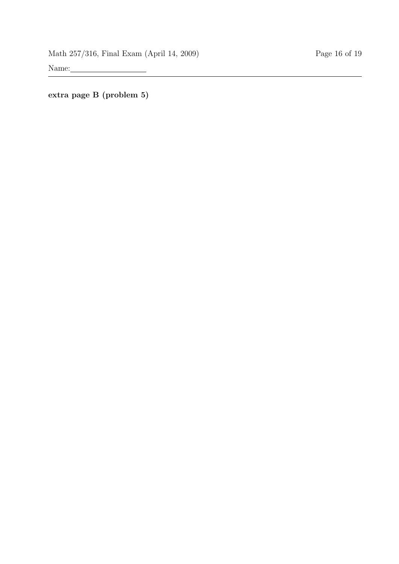extra page B (problem 5)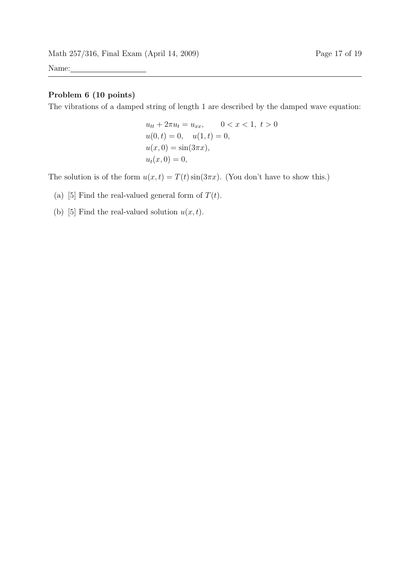### Problem 6 (10 points)

The vibrations of a damped string of length 1 are described by the damped wave equation:

$$
u_{tt} + 2\pi u_t = u_{xx}, \qquad 0 < x < 1, \ t > 0
$$
\n
$$
u(0, t) = 0, \quad u(1, t) = 0,
$$
\n
$$
u(x, 0) = \sin(3\pi x),
$$
\n
$$
u_t(x, 0) = 0,
$$

The solution is of the form  $u(x, t) = T(t) \sin(3\pi x)$ . (You don't have to show this.)

- (a) [5] Find the real-valued general form of  $T(t)$ .
- (b) [5] Find the real-valued solution  $u(x, t)$ .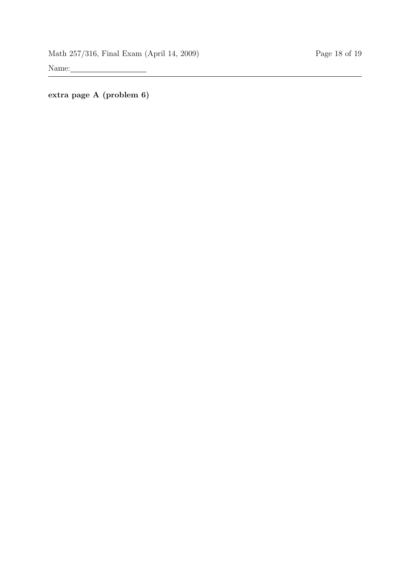extra page A (problem 6)